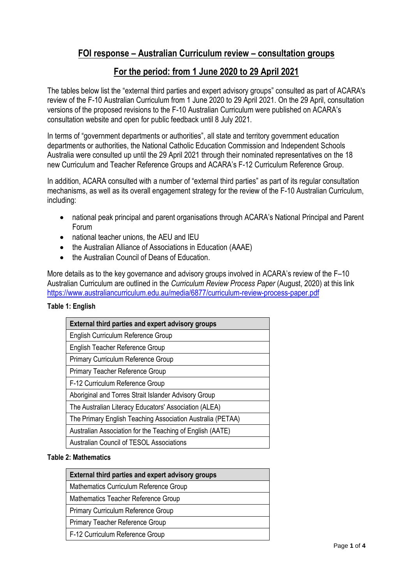# **FOI response – Australian Curriculum review – consultation groups**

# **For the period: from 1 June 2020 to 29 April 2021**

The tables below list the "external third parties and expert advisory groups" consulted as part of ACARA's review of the F-10 Australian Curriculum from 1 June 2020 to 29 April 2021. On the 29 April, consultation versions of the proposed revisions to the F-10 Australian Curriculum were published on ACARA's consultation website and open for public feedback until 8 July 2021.

In terms of "government departments or authorities", all state and territory government education departments or authorities, the National Catholic Education Commission and Independent Schools Australia were consulted up until the 29 April 2021 through their nominated representatives on the 18 new Curriculum and Teacher Reference Groups and ACARA's F-12 Curriculum Reference Group.

In addition, ACARA consulted with a number of "external third parties" as part of its regular consultation mechanisms, as well as its overall engagement strategy for the review of the F-10 Australian Curriculum, including:

- national peak principal and parent organisations through ACARA's National Principal and Parent Forum
- national teacher unions, the AEU and IEU
- the Australian Alliance of Associations in Education (AAAE)
- the Australian Council of Deans of Education.

More details as to the key governance and advisory groups involved in ACARA's review of the F–10 Australian Curriculum are outlined in the *Curriculum Review Process Paper* (August, 2020) at this link <https://www.australiancurriculum.edu.au/media/6877/curriculum-review-process-paper.pdf>

## **Table 1: English**

| <b>External third parties and expert advisory groups</b>   |
|------------------------------------------------------------|
| English Curriculum Reference Group                         |
| English Teacher Reference Group                            |
| <b>Primary Curriculum Reference Group</b>                  |
| Primary Teacher Reference Group                            |
| F-12 Curriculum Reference Group                            |
| Aboriginal and Torres Strait Islander Advisory Group       |
| The Australian Literacy Educators' Association (ALEA)      |
| The Primary English Teaching Association Australia (PETAA) |
| Australian Association for the Teaching of English (AATE)  |
| <b>Australian Council of TESOL Associations</b>            |

#### **Table 2: Mathematics**

| <b>External third parties and expert advisory groups</b> |  |
|----------------------------------------------------------|--|
| Mathematics Curriculum Reference Group                   |  |
| Mathematics Teacher Reference Group                      |  |
| Primary Curriculum Reference Group                       |  |
| Primary Teacher Reference Group                          |  |
| F-12 Curriculum Reference Group                          |  |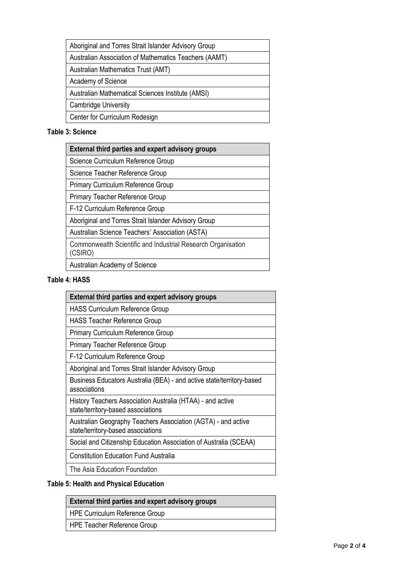| Aboriginal and Torres Strait Islander Advisory Group  |
|-------------------------------------------------------|
| Australian Association of Mathematics Teachers (AAMT) |
| Australian Mathematics Trust (AMT)                    |
| Academy of Science                                    |
| Australian Mathematical Sciences Institute (AMSI)     |
| <b>Cambridge University</b>                           |
| Center for Curriculum Redesign                        |

## **Table 3: Science**

| <b>External third parties and expert advisory groups</b>                |  |  |  |
|-------------------------------------------------------------------------|--|--|--|
| Science Curriculum Reference Group                                      |  |  |  |
| Science Teacher Reference Group                                         |  |  |  |
| <b>Primary Curriculum Reference Group</b>                               |  |  |  |
| Primary Teacher Reference Group                                         |  |  |  |
| F-12 Curriculum Reference Group                                         |  |  |  |
| Aboriginal and Torres Strait Islander Advisory Group                    |  |  |  |
| Australian Science Teachers' Association (ASTA)                         |  |  |  |
| Commonwealth Scientific and Industrial Research Organisation<br>(CSIRO) |  |  |  |
| Australian Academy of Science                                           |  |  |  |
|                                                                         |  |  |  |

## **Table 4: HASS**

| <b>External third parties and expert advisory groups</b>                                            |
|-----------------------------------------------------------------------------------------------------|
| <b>HASS Curriculum Reference Group</b>                                                              |
| <b>HASS Teacher Reference Group</b>                                                                 |
| <b>Primary Curriculum Reference Group</b>                                                           |
| Primary Teacher Reference Group                                                                     |
| F-12 Curriculum Reference Group                                                                     |
| Aboriginal and Torres Strait Islander Advisory Group                                                |
| Business Educators Australia (BEA) - and active state/territory-based<br>associations               |
| History Teachers Association Australia (HTAA) - and active<br>state/territory-based associations    |
| Australian Geography Teachers Association (AGTA) - and active<br>state/territory-based associations |
| Social and Citizenship Education Association of Australia (SCEAA)                                   |
| <b>Constitution Education Fund Australia</b>                                                        |
| The Asia Education Foundation                                                                       |
| <b>Table 5: Health and Physical Education</b>                                                       |

# **External third parties and expert advisory groups**

HPE Curriculum Reference Group

HPE Teacher Reference Group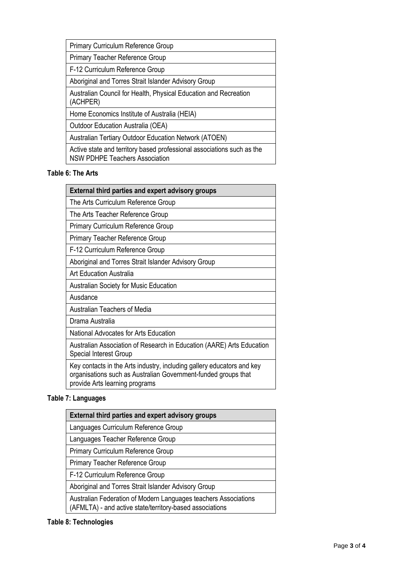Primary Curriculum Reference Group

Primary Teacher Reference Group

F-12 Curriculum Reference Group

Aboriginal and Torres Strait Islander Advisory Group

Australian Council for Health, Physical Education and Recreation

(ACHPER)

Home Economics Institute of Australia (HEIA)

Outdoor Education Australia (OEA)

Australian Tertiary Outdoor Education Network (ATOEN)

Active state and territory based professional associations such as the NSW PDHPE Teachers Association

## **Table 6: The Arts**

| <b>External third parties and expert advisory groups</b>                                                                                                                   |
|----------------------------------------------------------------------------------------------------------------------------------------------------------------------------|
| The Arts Curriculum Reference Group                                                                                                                                        |
| The Arts Teacher Reference Group                                                                                                                                           |
| <b>Primary Curriculum Reference Group</b>                                                                                                                                  |
| Primary Teacher Reference Group                                                                                                                                            |
| F-12 Curriculum Reference Group                                                                                                                                            |
| Aboriginal and Torres Strait Islander Advisory Group                                                                                                                       |
| Art Education Australia                                                                                                                                                    |
| <b>Australian Society for Music Education</b>                                                                                                                              |
| Ausdance                                                                                                                                                                   |
| Australian Teachers of Media                                                                                                                                               |
| Drama Australia                                                                                                                                                            |
| National Advocates for Arts Education                                                                                                                                      |
| Australian Association of Research in Education (AARE) Arts Education<br><b>Special Interest Group</b>                                                                     |
| Key contacts in the Arts industry, including gallery educators and key<br>organisations such as Australian Government-funded groups that<br>provide Arts learning programs |

## **Table 7: Languages**

| <b>External third parties and expert advisory groups</b>                                                                    |
|-----------------------------------------------------------------------------------------------------------------------------|
| Languages Curriculum Reference Group                                                                                        |
| Languages Teacher Reference Group                                                                                           |
| <b>Primary Curriculum Reference Group</b>                                                                                   |
| Primary Teacher Reference Group                                                                                             |
| F-12 Curriculum Reference Group                                                                                             |
| Aboriginal and Torres Strait Islander Advisory Group                                                                        |
| Australian Federation of Modern Languages teachers Associations<br>(AFMLTA) - and active state/territory-based associations |

## **Table 8: Technologies**